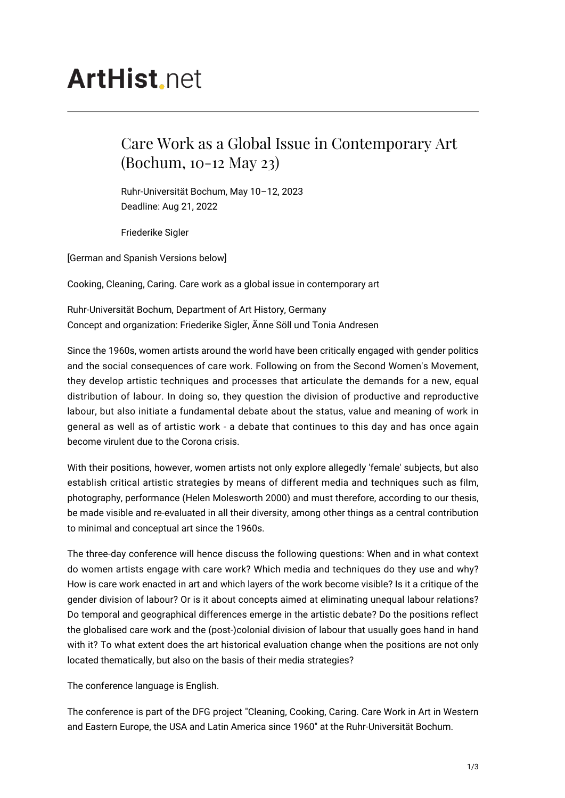## **ArtHist** net

## Care Work as a Global Issue in Contemporary Art (Bochum, 10-12 May 23)

Ruhr-Universität Bochum, May 10–12, 2023 Deadline: Aug 21, 2022

Friederike Sigler

[German and Spanish Versions below]

Cooking, Cleaning, Caring. Care work as a global issue in contemporary art

Ruhr-Universität Bochum, Department of Art History, Germany Concept and organization: Friederike Sigler, Änne Söll und Tonia Andresen

Since the 1960s, women artists around the world have been critically engaged with gender politics and the social consequences of care work. Following on from the Second Women's Movement, they develop artistic techniques and processes that articulate the demands for a new, equal distribution of labour. In doing so, they question the division of productive and reproductive labour, but also initiate a fundamental debate about the status, value and meaning of work in general as well as of artistic work - a debate that continues to this day and has once again become virulent due to the Corona crisis.

With their positions, however, women artists not only explore allegedly 'female' subjects, but also establish critical artistic strategies by means of different media and techniques such as film, photography, performance (Helen Molesworth 2000) and must therefore, according to our thesis, be made visible and re-evaluated in all their diversity, among other things as a central contribution to minimal and conceptual art since the 1960s.

The three-day conference will hence discuss the following questions: When and in what context do women artists engage with care work? Which media and techniques do they use and why? How is care work enacted in art and which layers of the work become visible? Is it a critique of the gender division of labour? Or is it about concepts aimed at eliminating unequal labour relations? Do temporal and geographical differences emerge in the artistic debate? Do the positions reflect the globalised care work and the (post-)colonial division of labour that usually goes hand in hand with it? To what extent does the art historical evaluation change when the positions are not only located thematically, but also on the basis of their media strategies?

The conference language is English.

The conference is part of the DFG project "Cleaning, Cooking, Caring. Care Work in Art in Western and Eastern Europe, the USA and Latin America since 1960" at the Ruhr-Universität Bochum.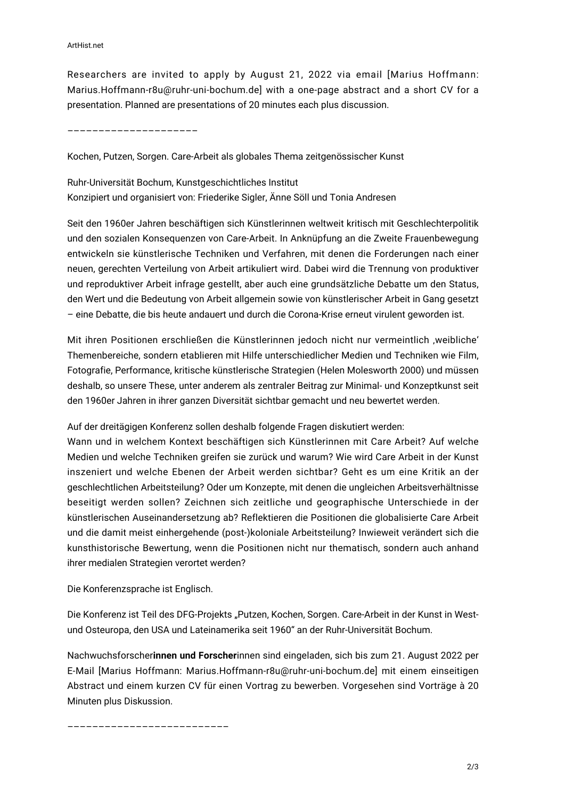Researchers are invited to apply by August 21, 2022 via email [Marius Hoffmann: Marius.Hoffmann-r8u@ruhr-uni-bochum.de] with a one-page abstract and a short CV for a presentation. Planned are presentations of 20 minutes each plus discussion.

–––––––––––––––––––––

Kochen, Putzen, Sorgen. Care-Arbeit als globales Thema zeitgenössischer Kunst

Ruhr-Universität Bochum, Kunstgeschichtliches Institut Konzipiert und organisiert von: Friederike Sigler, Änne Söll und Tonia Andresen

Seit den 1960er Jahren beschäftigen sich Künstlerinnen weltweit kritisch mit Geschlechterpolitik und den sozialen Konsequenzen von Care-Arbeit. In Anknüpfung an die Zweite Frauenbewegung entwickeln sie künstlerische Techniken und Verfahren, mit denen die Forderungen nach einer neuen, gerechten Verteilung von Arbeit artikuliert wird. Dabei wird die Trennung von produktiver und reproduktiver Arbeit infrage gestellt, aber auch eine grundsätzliche Debatte um den Status, den Wert und die Bedeutung von Arbeit allgemein sowie von künstlerischer Arbeit in Gang gesetzt – eine Debatte, die bis heute andauert und durch die Corona-Krise erneut virulent geworden ist.

Mit ihren Positionen erschließen die Künstlerinnen jedoch nicht nur vermeintlich ,weibliche' Themenbereiche, sondern etablieren mit Hilfe unterschiedlicher Medien und Techniken wie Film, Fotografie, Performance, kritische künstlerische Strategien (Helen Molesworth 2000) und müssen deshalb, so unsere These, unter anderem als zentraler Beitrag zur Minimal- und Konzeptkunst seit den 1960er Jahren in ihrer ganzen Diversität sichtbar gemacht und neu bewertet werden.

Auf der dreitägigen Konferenz sollen deshalb folgende Fragen diskutiert werden:

Wann und in welchem Kontext beschäftigen sich Künstlerinnen mit Care Arbeit? Auf welche Medien und welche Techniken greifen sie zurück und warum? Wie wird Care Arbeit in der Kunst inszeniert und welche Ebenen der Arbeit werden sichtbar? Geht es um eine Kritik an der geschlechtlichen Arbeitsteilung? Oder um Konzepte, mit denen die ungleichen Arbeitsverhältnisse beseitigt werden sollen? Zeichnen sich zeitliche und geographische Unterschiede in der künstlerischen Auseinandersetzung ab? Reflektieren die Positionen die globalisierte Care Arbeit und die damit meist einhergehende (post-)koloniale Arbeitsteilung? Inwieweit verändert sich die kunsthistorische Bewertung, wenn die Positionen nicht nur thematisch, sondern auch anhand ihrer medialen Strategien verortet werden?

Die Konferenzsprache ist Englisch.

Die Konferenz ist Teil des DFG-Projekts "Putzen, Kochen, Sorgen. Care-Arbeit in der Kunst in Westund Osteuropa, den USA und Lateinamerika seit 1960" an der Ruhr-Universität Bochum.

Nachwuchsforscher**innen und Forscher**innen sind eingeladen, sich bis zum 21. August 2022 per E-Mail [Marius Hoffmann: Marius.Hoffmann-r8u@ruhr-uni-bochum.de] mit einem einseitigen Abstract und einem kurzen CV für einen Vortrag zu bewerben. Vorgesehen sind Vorträge à 20 Minuten plus Diskussion.

––––––––––––––––––––––––––